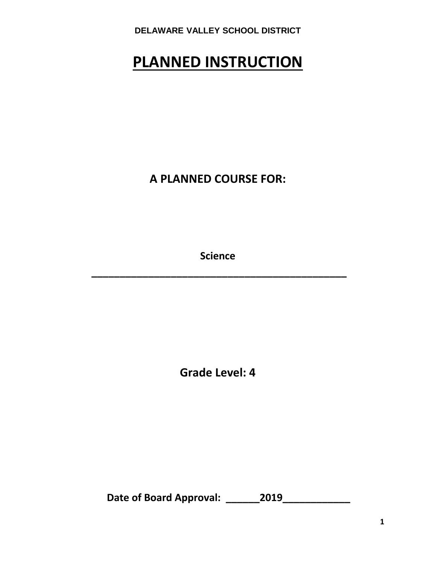# **PLANNED INSTRUCTION**

**A PLANNED COURSE FOR:**

**Science**

**\_\_\_\_\_\_\_\_\_\_\_\_\_\_\_\_\_\_\_\_\_\_\_\_\_\_\_\_\_\_\_\_\_\_\_\_\_\_\_\_\_\_\_\_\_**

**Grade Level: 4**

**Date of Board Approval: \_\_\_\_\_\_2019\_\_\_\_\_\_\_\_\_\_\_\_**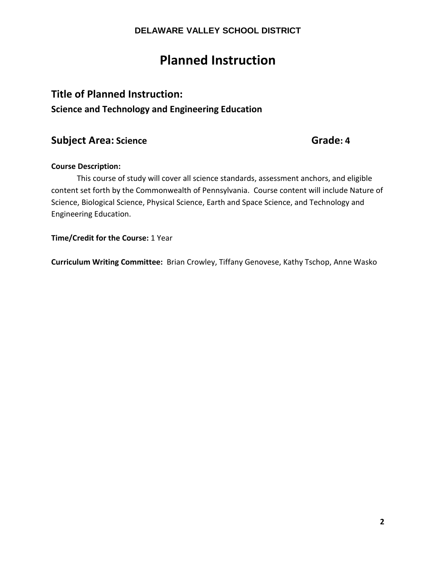# **Planned Instruction**

## **Title of Planned Instruction:**

**Science and Technology and Engineering Education**

## **Subject Area:** Science Grade: 4

#### **Course Description:**

This course of study will cover all science standards, assessment anchors, and eligible content set forth by the Commonwealth of Pennsylvania. Course content will include Nature of Science, Biological Science, Physical Science, Earth and Space Science, and Technology and Engineering Education.

**Time/Credit for the Course:** 1 Year

**Curriculum Writing Committee:** Brian Crowley, Tiffany Genovese, Kathy Tschop, Anne Wasko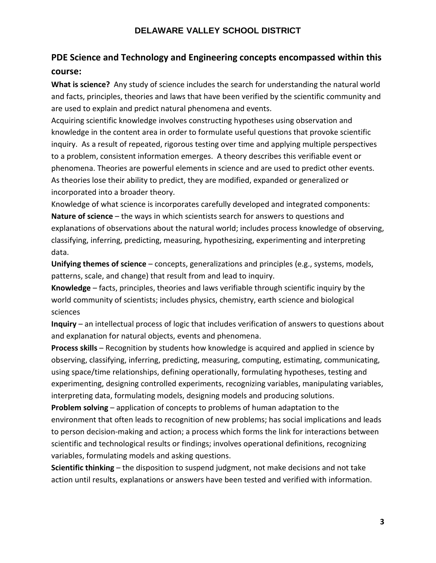## **PDE Science and Technology and Engineering concepts encompassed within this course:**

**What is science?** Any study of science includes the search for understanding the natural world and facts, principles, theories and laws that have been verified by the scientific community and are used to explain and predict natural phenomena and events.

Acquiring scientific knowledge involves constructing hypotheses using observation and knowledge in the content area in order to formulate useful questions that provoke scientific inquiry. As a result of repeated, rigorous testing over time and applying multiple perspectives to a problem, consistent information emerges. A theory describes this verifiable event or phenomena. Theories are powerful elements in science and are used to predict other events. As theories lose their ability to predict, they are modified, expanded or generalized or incorporated into a broader theory.

Knowledge of what science is incorporates carefully developed and integrated components: **Nature of science** – the ways in which scientists search for answers to questions and explanations of observations about the natural world; includes process knowledge of observing, classifying, inferring, predicting, measuring, hypothesizing, experimenting and interpreting data.

**Unifying themes of science** – concepts, generalizations and principles (e.g., systems, models, patterns, scale, and change) that result from and lead to inquiry.

**Knowledge** – facts, principles, theories and laws verifiable through scientific inquiry by the world community of scientists; includes physics, chemistry, earth science and biological sciences

**Inquiry** – an intellectual process of logic that includes verification of answers to questions about and explanation for natural objects, events and phenomena.

**Process skills** – Recognition by students how knowledge is acquired and applied in science by observing, classifying, inferring, predicting, measuring, computing, estimating, communicating, using space/time relationships, defining operationally, formulating hypotheses, testing and experimenting, designing controlled experiments, recognizing variables, manipulating variables, interpreting data, formulating models, designing models and producing solutions.

**Problem solving** – application of concepts to problems of human adaptation to the environment that often leads to recognition of new problems; has social implications and leads to person decision-making and action; a process which forms the link for interactions between scientific and technological results or findings; involves operational definitions, recognizing variables, formulating models and asking questions.

**Scientific thinking** – the disposition to suspend judgment, not make decisions and not take action until results, explanations or answers have been tested and verified with information.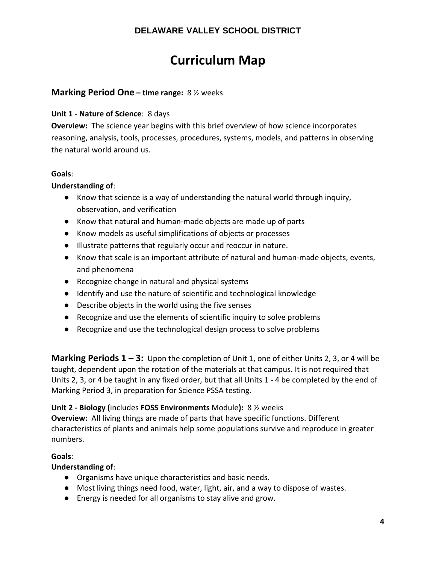# **Curriculum Map**

#### **Marking Period One – time range:** 8 ½ weeks

#### **Unit 1 - Nature of Science**: 8 days

**Overview:** The science year begins with this brief overview of how science incorporates reasoning, analysis, tools, processes, procedures, systems, models, and patterns in observing the natural world around us.

#### **Goals**:

#### **Understanding of**:

- Know that science is a way of understanding the natural world through inquiry, observation, and verification
- Know that natural and human-made objects are made up of parts
- Know models as useful simplifications of objects or processes
- Illustrate patterns that regularly occur and reoccur in nature.
- Know that scale is an important attribute of natural and human-made objects, events, and phenomena
- Recognize change in natural and physical systems
- Identify and use the nature of scientific and technological knowledge
- Describe objects in the world using the five senses
- Recognize and use the elements of scientific inquiry to solve problems
- Recognize and use the technological design process to solve problems

**Marking Periods 1 – 3:** Upon the completion of Unit 1, one of either Units 2, 3, or 4 will be taught, dependent upon the rotation of the materials at that campus. It is not required that Units 2, 3, or 4 be taught in any fixed order, but that all Units 1 - 4 be completed by the end of Marking Period 3, in preparation for Science PSSA testing.

#### **Unit 2 - Biology (**includes **FOSS Environments** Module**):** 8 ½ weeks

**Overview:** All living things are made of parts that have specific functions. Different characteristics of plants and animals help some populations survive and reproduce in greater numbers.

#### **Goals**:

#### **Understanding of**:

- Organisms have unique characteristics and basic needs.
- Most living things need food, water, light, air, and a way to dispose of wastes.
- Energy is needed for all organisms to stay alive and grow.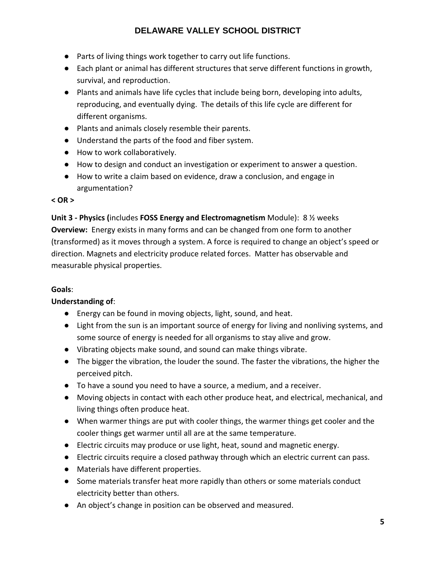- Parts of living things work together to carry out life functions.
- Each plant or animal has different structures that serve different functions in growth, survival, and reproduction.
- Plants and animals have life cycles that include being born, developing into adults, reproducing, and eventually dying. The details of this life cycle are different for different organisms.
- Plants and animals closely resemble their parents.
- Understand the parts of the food and fiber system.
- How to work collaboratively.
- How to design and conduct an investigation or experiment to answer a question.
- How to write a claim based on evidence, draw a conclusion, and engage in argumentation?

#### **< OR >**

**Unit 3 - Physics (**includes **FOSS Energy and Electromagnetism** Module): 8 ½ weeks **Overview:** Energy exists in many forms and can be changed from one form to another (transformed) as it moves through a system. A force is required to change an object's speed or direction. Magnets and electricity produce related forces. Matter has observable and measurable physical properties.

#### **Goals**:

#### **Understanding of**:

- Energy can be found in moving objects, light, sound, and heat.
- Light from the sun is an important source of energy for living and nonliving systems, and some source of energy is needed for all organisms to stay alive and grow.
- Vibrating objects make sound, and sound can make things vibrate.
- The bigger the vibration, the louder the sound. The faster the vibrations, the higher the perceived pitch.
- To have a sound you need to have a source, a medium, and a receiver.
- Moving objects in contact with each other produce heat, and electrical, mechanical, and living things often produce heat.
- When warmer things are put with cooler things, the warmer things get cooler and the cooler things get warmer until all are at the same temperature.
- Electric circuits may produce or use light, heat, sound and magnetic energy.
- Electric circuits require a closed pathway through which an electric current can pass.
- Materials have different properties.
- Some materials transfer heat more rapidly than others or some materials conduct electricity better than others.
- An object's change in position can be observed and measured.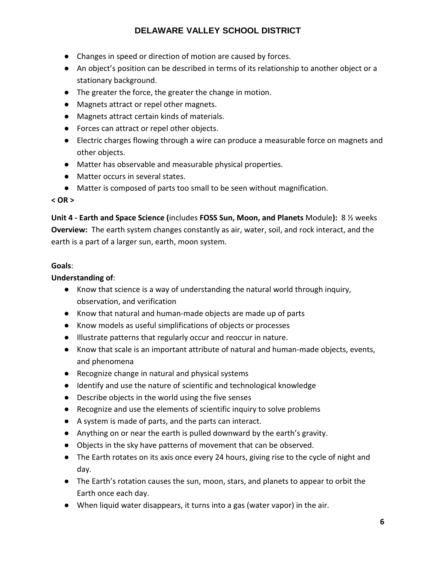- Changes in speed or direction of motion are caused by forces.
- An object's position can be described in terms of its relationship to another object or a stationary background.
- The greater the force, the greater the change in motion.
- Magnets attract or repel other magnets.
- Magnets attract certain kinds of materials.
- Forces can attract or repel other objects.
- Electric charges flowing through a wire can produce a measurable force on magnets and other objects.
- Matter has observable and measurable physical properties.
- Matter occurs in several states.
- Matter is composed of parts too small to be seen without magnification.

#### **< OR >**

**Unit 4 - Earth and Space Science (**includes **FOSS Sun, Moon, and Planets** Module**):** 8 ½ weeks **Overview:** The earth system changes constantly as air, water, soil, and rock interact, and the earth is a part of a larger sun, earth, moon system.

#### **Goals**:

#### **Understanding of**:

- Know that science is a way of understanding the natural world through inquiry, observation, and verification
- Know that natural and human-made objects are made up of parts
- Know models as useful simplifications of objects or processes
- Illustrate patterns that regularly occur and reoccur in nature.
- Know that scale is an important attribute of natural and human-made objects, events, and phenomena
- Recognize change in natural and physical systems
- Identify and use the nature of scientific and technological knowledge
- Describe objects in the world using the five senses
- Recognize and use the elements of scientific inquiry to solve problems
- A system is made of parts, and the parts can interact.
- Anything on or near the earth is pulled downward by the earth's gravity.
- Objects in the sky have patterns of movement that can be observed.
- The Earth rotates on its axis once every 24 hours, giving rise to the cycle of night and day.
- The Earth's rotation causes the sun, moon, stars, and planets to appear to orbit the Earth once each day.
- When liquid water disappears, it turns into a gas (water vapor) in the air.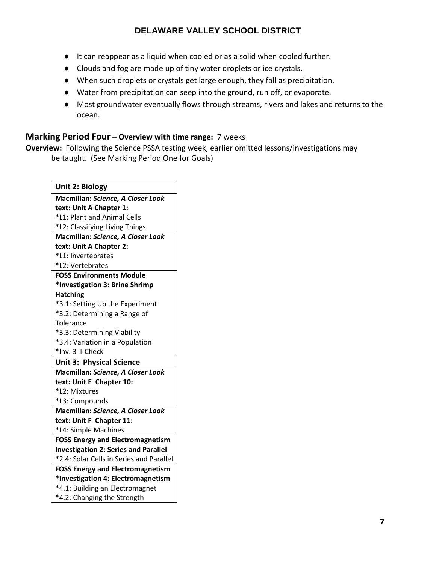- It can reappear as a liquid when cooled or as a solid when cooled further.
- Clouds and fog are made up of tiny water droplets or ice crystals.
- When such droplets or crystals get large enough, they fall as precipitation.
- Water from precipitation can seep into the ground, run off, or evaporate.
- Most groundwater eventually flows through streams, rivers and lakes and returns to the ocean.

#### **Marking Period Four – Overview with time range:** 7 weeks

**Overview:** Following the Science PSSA testing week, earlier omitted lessons/investigations may be taught. (See Marking Period One for Goals)

 $\overline{\phantom{a}}$ 

| Unit 2: Biology                                                |
|----------------------------------------------------------------|
| Macmillan: Science, A Closer Look                              |
| text: Unit A Chapter 1:                                        |
| *L1: Plant and Animal Cells                                    |
| *L2: Classifying Living Things                                 |
| Macmillan: Science, A Closer Look                              |
| text: Unit A Chapter 2:                                        |
| *L1: Invertebrates                                             |
| *L2: Vertebrates                                               |
| <b>FOSS Environments Module</b>                                |
| *Investigation 3: Brine Shrimp                                 |
| <b>Hatching</b>                                                |
| *3.1: Setting Up the Experiment                                |
| *3.2: Determining a Range of                                   |
| Tolerance                                                      |
| *3.3: Determining Viability                                    |
| *3.4: Variation in a Population                                |
| *Inv. 3 I-Check                                                |
| <b>Unit 3: Physical Science</b>                                |
| Macmillan: Science, A Closer Look                              |
| text: Unit E Chapter 10:                                       |
| *L2: Mixtures                                                  |
| *L3: Compounds                                                 |
| Macmillan: Science, A Closer Look                              |
| text: Unit F Chapter 11:                                       |
| *L4: Simple Machines                                           |
| <b>FOSS Energy and Electromagnetism</b>                        |
| <b>Investigation 2: Series and Parallel</b>                    |
| *2.4: Solar Cells in Series and Parallel                       |
| <b>FOSS Energy and Electromagnetism</b>                        |
| *Investigation 4: Electromagnetism                             |
|                                                                |
| *4.1: Building an Electromagnet<br>*4.2: Changing the Strength |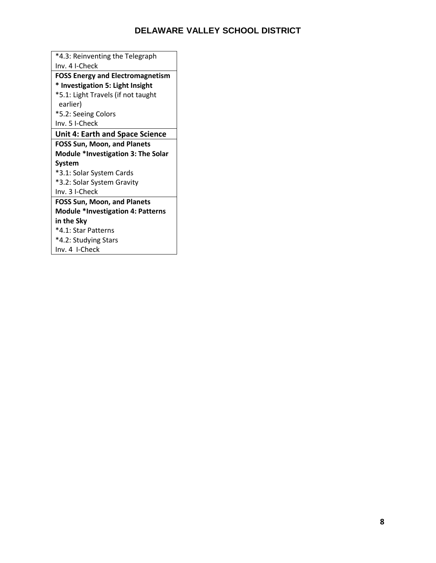| *4.3: Reinventing the Telegraph          |
|------------------------------------------|
| Inv. 4 I-Check                           |
| <b>FOSS Energy and Electromagnetism</b>  |
| * Investigation 5: Light Insight         |
| *5.1: Light Travels (if not taught       |
| earlier)                                 |
| *5.2: Seeing Colors                      |
| Inv. 5 I-Check                           |
| <b>Unit 4: Earth and Space Science</b>   |
| <b>FOSS Sun, Moon, and Planets</b>       |
| Module *Investigation 3: The Solar       |
| System                                   |
| *3.1: Solar System Cards                 |
| *3.2: Solar System Gravity               |
| Inv. 3 I-Check                           |
|                                          |
| <b>FOSS Sun, Moon, and Planets</b>       |
| <b>Module *Investigation 4: Patterns</b> |
| in the Sky                               |
| *4.1: Star Patterns                      |
| *4.2: Studying Stars                     |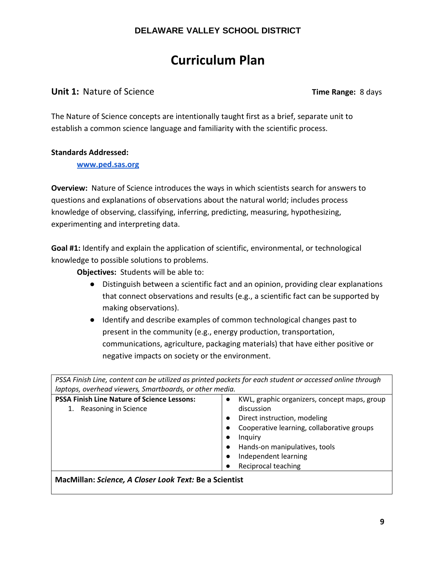# **Curriculum Plan**

### **Unit 1:** Nature of Science **Time Range:** 8 days

The Nature of Science concepts are intentionally taught first as a brief, separate unit to establish a common science language and familiarity with the scientific process.

#### **Standards Addressed:**

**[www.ped.sas.org](http://www.ped.sas.org/)**

**Overview:** Nature of Science introduces the ways in which scientists search for answers to questions and explanations of observations about the natural world; includes process knowledge of observing, classifying, inferring, predicting, measuring, hypothesizing, experimenting and interpreting data.

**Goal #1:** Identify and explain the application of scientific, environmental, or technological knowledge to possible solutions to problems.

**Objectives:** Students will be able to:

- Distinguish between a scientific fact and an opinion, providing clear explanations that connect observations and results (e.g., a scientific fact can be supported by making observations).
- Identify and describe examples of common technological changes past to present in the community (e.g., energy production, transportation, communications, agriculture, packaging materials) that have either positive or negative impacts on society or the environment.

*PSSA Finish Line, content can be utilized as printed packets for each student or accessed online through laptops, overhead viewers, Smartboards, or other media.* 

| <b>PSSA Finish Line Nature of Science Lessons:</b> | KWL, graphic organizers, concept maps, group |
|----------------------------------------------------|----------------------------------------------|
| Reasoning in Science                               | discussion                                   |
|                                                    | Direct instruction, modeling                 |
|                                                    | Cooperative learning, collaborative groups   |
|                                                    | Inquiry                                      |
|                                                    | Hands-on manipulatives, tools                |
|                                                    | Independent learning                         |
|                                                    | Reciprocal teaching                          |
|                                                    |                                              |

**MacMillan:** *Science, A Closer Look Text:* **Be a Scientist**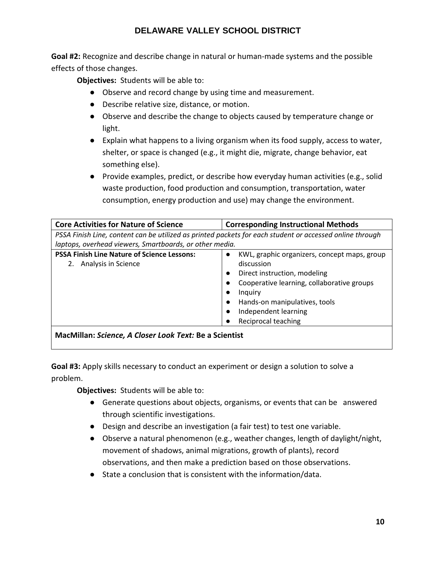**Goal #2:** Recognize and describe change in natural or human-made systems and the possible effects of those changes.

**Objectives:** Students will be able to:

- Observe and record change by using time and measurement.
- Describe relative size, distance, or motion.
- Observe and describe the change to objects caused by temperature change or light.
- Explain what happens to a living organism when its food supply, access to water, shelter, or space is changed (e.g., it might die, migrate, change behavior, eat something else).
- Provide examples, predict, or describe how everyday human activities (e.g., solid waste production, food production and consumption, transportation, water consumption, energy production and use) may change the environment.

| <b>Core Activities for Nature of Science</b>                                                             | <b>Corresponding Instructional Methods</b>   |
|----------------------------------------------------------------------------------------------------------|----------------------------------------------|
| PSSA Finish Line, content can be utilized as printed packets for each student or accessed online through |                                              |
| laptops, overhead viewers, Smartboards, or other media.                                                  |                                              |
| <b>PSSA Finish Line Nature of Science Lessons:</b>                                                       | KWL, graphic organizers, concept maps, group |
| Analysis in Science<br>2.                                                                                | discussion                                   |
|                                                                                                          | Direct instruction, modeling                 |
|                                                                                                          | Cooperative learning, collaborative groups   |
|                                                                                                          | Inquiry                                      |
|                                                                                                          | Hands-on manipulatives, tools                |
|                                                                                                          | Independent learning                         |
|                                                                                                          | Reciprocal teaching                          |
| MacMillan: Science, A Closer Look Text: Be a Scientist                                                   |                                              |

**Goal #3:** Apply skills necessary to conduct an experiment or design a solution to solve a problem.

- Generate questions about objects, organisms, or events that can be answered through scientific investigations.
- Design and describe an investigation (a fair test) to test one variable.
- Observe a natural phenomenon (e.g., weather changes, length of daylight/night, movement of shadows, animal migrations, growth of plants), record observations, and then make a prediction based on those observations.
- State a conclusion that is consistent with the information/data.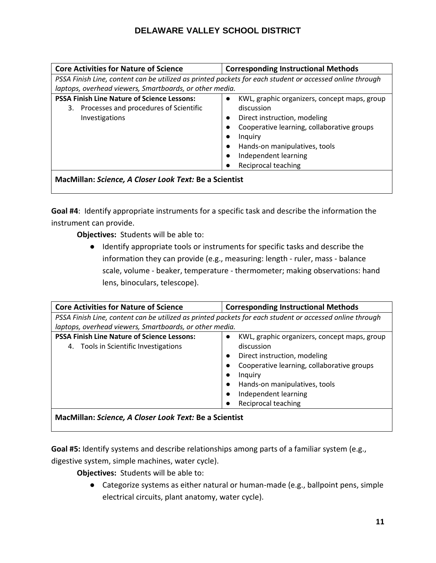| <b>Core Activities for Nature of Science</b>                                                                         | <b>Corresponding Instructional Methods</b>                                                                                                                                                                                                                                 |
|----------------------------------------------------------------------------------------------------------------------|----------------------------------------------------------------------------------------------------------------------------------------------------------------------------------------------------------------------------------------------------------------------------|
| PSSA Finish Line, content can be utilized as printed packets for each student or accessed online through             |                                                                                                                                                                                                                                                                            |
| laptops, overhead viewers, Smartboards, or other media.                                                              |                                                                                                                                                                                                                                                                            |
| <b>PSSA Finish Line Nature of Science Lessons:</b><br>Processes and procedures of Scientific<br>3.<br>Investigations | KWL, graphic organizers, concept maps, group<br>$\bullet$<br>discussion<br>Direct instruction, modeling<br>$\bullet$<br>Cooperative learning, collaborative groups<br>$\bullet$<br>Inquiry<br>Hands-on manipulatives, tools<br>Independent learning<br>Reciprocal teaching |
| MacMillan: Science, A Closer Look Text: Be a Scientist                                                               |                                                                                                                                                                                                                                                                            |

**Goal #4**: Identify appropriate instruments for a specific task and describe the information the instrument can provide.

**Objectives:** Students will be able to:

● Identify appropriate tools or instruments for specific tasks and describe the information they can provide (e.g., measuring: length - ruler, mass - balance scale, volume - beaker, temperature - thermometer; making observations: hand lens, binoculars, telescope).

| <b>Core Activities for Nature of Science</b>                                                             | <b>Corresponding Instructional Methods</b>                                                                                                                                                                                          |
|----------------------------------------------------------------------------------------------------------|-------------------------------------------------------------------------------------------------------------------------------------------------------------------------------------------------------------------------------------|
| PSSA Finish Line, content can be utilized as printed packets for each student or accessed online through |                                                                                                                                                                                                                                     |
| laptops, overhead viewers, Smartboards, or other media.                                                  |                                                                                                                                                                                                                                     |
| <b>PSSA Finish Line Nature of Science Lessons:</b><br>4. Tools in Scientific Investigations              | KWL, graphic organizers, concept maps, group<br>discussion<br>Direct instruction, modeling<br>Cooperative learning, collaborative groups<br>Inquiry<br>Hands-on manipulatives, tools<br>Independent learning<br>Reciprocal teaching |
| MacMillan: Science, A Closer Look Text: Be a Scientist                                                   |                                                                                                                                                                                                                                     |

**Goal #5:** Identify systems and describe relationships among parts of a familiar system (e.g.,

digestive system, simple machines, water cycle).

**Objectives:** Students will be able to:

● Categorize systems as either natural or human-made (e.g., ballpoint pens, simple electrical circuits, plant anatomy, water cycle).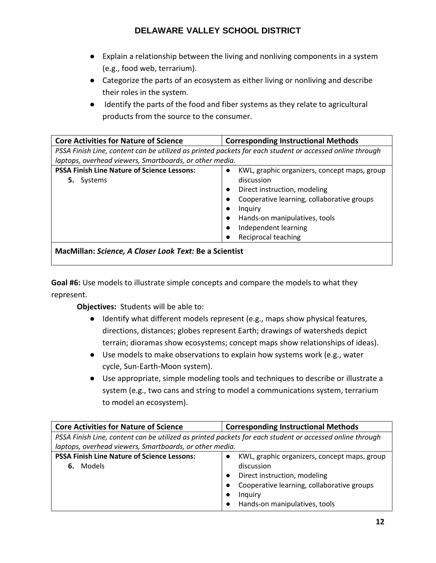- Explain a relationship between the living and nonliving components in a system (e.g., food web, terrarium).
- Categorize the parts of an ecosystem as either living or nonliving and describe their roles in the system.
- Identify the parts of the food and fiber systems as they relate to agricultural products from the source to the consumer.

| <b>Core Activities for Nature of Science</b>                                                             | <b>Corresponding Instructional Methods</b>                                                                                                                                                                                                                                                                        |
|----------------------------------------------------------------------------------------------------------|-------------------------------------------------------------------------------------------------------------------------------------------------------------------------------------------------------------------------------------------------------------------------------------------------------------------|
| PSSA Finish Line, content can be utilized as printed packets for each student or accessed online through |                                                                                                                                                                                                                                                                                                                   |
| laptops, overhead viewers, Smartboards, or other media.                                                  |                                                                                                                                                                                                                                                                                                                   |
| <b>PSSA Finish Line Nature of Science Lessons:</b><br><b>5.</b> Systems                                  | KWL, graphic organizers, concept maps, group<br>$\bullet$<br>discussion<br>Direct instruction, modeling<br>$\bullet$<br>Cooperative learning, collaborative groups<br>$\bullet$<br>Inquiry<br>$\bullet$<br>Hands-on manipulatives, tools<br>$\bullet$<br>Independent learning<br>$\bullet$<br>Reciprocal teaching |
| MacMillan: Science, A Closer Look Text: Be a Scientist                                                   |                                                                                                                                                                                                                                                                                                                   |

**Goal #6:** Use models to illustrate simple concepts and compare the models to what they represent.

- Identify what different models represent (e.g., maps show physical features, directions, distances; globes represent Earth; drawings of watersheds depict terrain; dioramas show ecosystems; concept maps show relationships of ideas).
- Use models to make observations to explain how systems work (e.g., water cycle, Sun-Earth-Moon system).
- Use appropriate, simple modeling tools and techniques to describe or illustrate a system (e.g., two cans and string to model a communications system, terrarium to model an ecosystem).

| <b>Core Activities for Nature of Science</b>                                                             | <b>Corresponding Instructional Methods</b>   |
|----------------------------------------------------------------------------------------------------------|----------------------------------------------|
| PSSA Finish Line, content can be utilized as printed packets for each student or accessed online through |                                              |
| laptops, overhead viewers, Smartboards, or other media.                                                  |                                              |
| <b>PSSA Finish Line Nature of Science Lessons:</b>                                                       | KWL, graphic organizers, concept maps, group |
| 6. Models                                                                                                | discussion                                   |
|                                                                                                          | Direct instruction, modeling                 |
|                                                                                                          | Cooperative learning, collaborative groups   |
|                                                                                                          | Inquiry                                      |
|                                                                                                          | Hands-on manipulatives, tools                |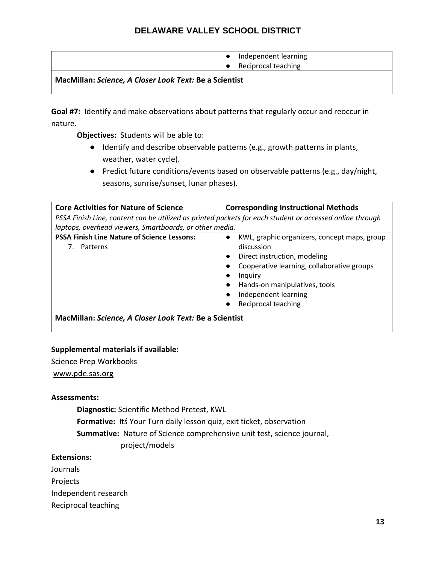|                                                        | Independent learning |
|--------------------------------------------------------|----------------------|
|                                                        | Reciprocal teaching  |
| MacMillan: Science. A Closer Look Text: Be a Scientist |                      |

**Goal #7:** Identify and make observations about patterns that regularly occur and reoccur in nature.

**Objectives:** Students will be able to:

- Identify and describe observable patterns (e.g., growth patterns in plants, weather, water cycle).
- Predict future conditions/events based on observable patterns (e.g., day/night, seasons, sunrise/sunset, lunar phases).

| <b>Core Activities for Nature of Science</b>                                                             | <b>Corresponding Instructional Methods</b>                                                                                                                                                                                          |
|----------------------------------------------------------------------------------------------------------|-------------------------------------------------------------------------------------------------------------------------------------------------------------------------------------------------------------------------------------|
| PSSA Finish Line, content can be utilized as printed packets for each student or accessed online through |                                                                                                                                                                                                                                     |
| laptops, overhead viewers, Smartboards, or other media.                                                  |                                                                                                                                                                                                                                     |
| <b>PSSA Finish Line Nature of Science Lessons:</b><br>$\bullet$<br>7. Patterns<br>$\bullet$              | KWL, graphic organizers, concept maps, group<br>discussion<br>Direct instruction, modeling<br>Cooperative learning, collaborative groups<br>Inquiry<br>Hands-on manipulatives, tools<br>Independent learning<br>Reciprocal teaching |

**MacMillan:** *Science, A Closer Look Text:* **Be a Scientist**

#### **Supplemental materials if available:**

Science Prep Workbooks

[www.pde.sas.org](http://www.pde.sas.org/)

#### **Assessments:**

**Diagnostic:** Scientific Method Pretest, KWL

**Formative:** Itś Your Turn daily lesson quiz, exit ticket, observation

**Summative:** Nature of Science comprehensive unit test, science journal,

project/models

#### **Extensions:**

Journals

Projects

Independent research

Reciprocal teaching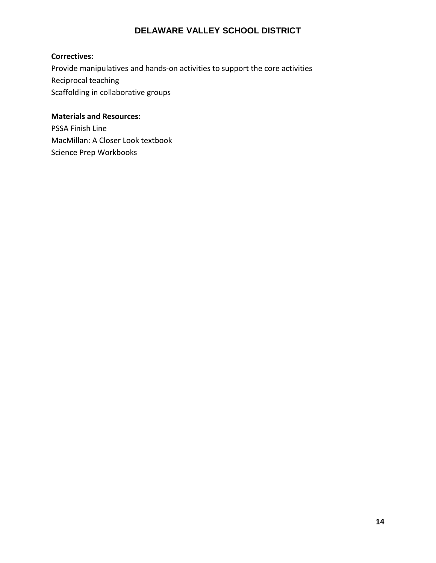## **Correctives:**

Provide manipulatives and hands-on activities to support the core activities Reciprocal teaching Scaffolding in collaborative groups

#### **Materials and Resources:**

PSSA Finish Line MacMillan: A Closer Look textbook Science Prep Workbooks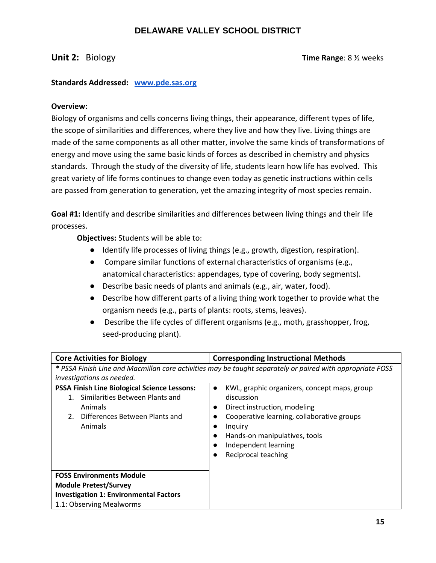**Unit 2:** Biology **Time Range: 8 % weeks** 

#### **Standards Addressed: [www.pde.sas.org](http://www.pde.sas.org/)**

#### **Overview:**

Biology of organisms and cells concerns living things, their appearance, different types of life, the scope of similarities and differences, where they live and how they live. Living things are made of the same components as all other matter, involve the same kinds of transformations of energy and move using the same basic kinds of forces as described in chemistry and physics standards. Through the study of the diversity of life, students learn how life has evolved. This great variety of life forms continues to change even today as genetic instructions within cells are passed from generation to generation, yet the amazing integrity of most species remain.

**Goal #1: I**dentify and describe similarities and differences between living things and their life processes.

- Identify life processes of living things (e.g., growth, digestion, respiration).
- Compare similar functions of external characteristics of organisms (e.g., anatomical characteristics: appendages, type of covering, body segments).
- Describe basic needs of plants and animals (e.g., air, water, food).
- Describe how different parts of a living thing work together to provide what the organism needs (e.g., parts of plants: roots, stems, leaves).
- Describe the life cycles of different organisms (e.g., moth, grasshopper, frog, seed-producing plant).

| <b>Core Activities for Biology</b>                                                                                                                   | <b>Corresponding Instructional Methods</b>                                                                                                                                                                                                       |
|------------------------------------------------------------------------------------------------------------------------------------------------------|--------------------------------------------------------------------------------------------------------------------------------------------------------------------------------------------------------------------------------------------------|
| investigations as needed.                                                                                                                            | * PSSA Finish Line and Macmillan core activities may be taught separately or paired with appropriate FOSS                                                                                                                                        |
| <b>PSSA Finish Line Biological Science Lessons:</b><br>Similarities Between Plants and<br>Animals<br>Differences Between Plants and<br>2.<br>Animals | KWL, graphic organizers, concept maps, group<br>$\bullet$<br>discussion<br>Direct instruction, modeling<br>Cooperative learning, collaborative groups<br>Inquiry<br>Hands-on manipulatives, tools<br>Independent learning<br>Reciprocal teaching |
| <b>FOSS Environments Module</b>                                                                                                                      |                                                                                                                                                                                                                                                  |
| <b>Module Pretest/Survey</b><br><b>Investigation 1: Environmental Factors</b>                                                                        |                                                                                                                                                                                                                                                  |
| 1.1: Observing Mealworms                                                                                                                             |                                                                                                                                                                                                                                                  |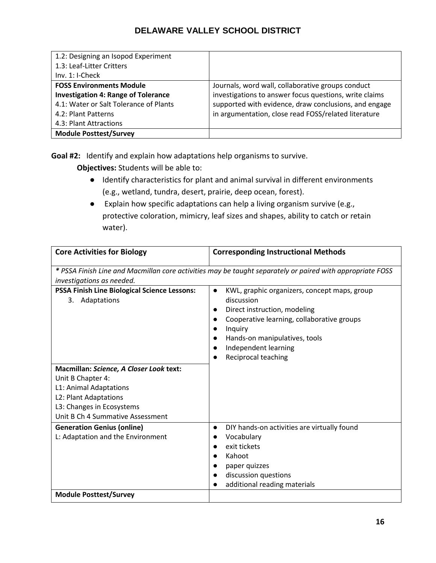| 1.2: Designing an Isopod Experiment        |                                                        |
|--------------------------------------------|--------------------------------------------------------|
| 1.3: Leaf-Litter Critters                  |                                                        |
| $Inv. 1: I-Check$                          |                                                        |
| <b>FOSS Environments Module</b>            | Journals, word wall, collaborative groups conduct      |
| <b>Investigation 4: Range of Tolerance</b> | investigations to answer focus questions, write claims |
| 4.1: Water or Salt Tolerance of Plants     | supported with evidence, draw conclusions, and engage  |
| 4.2: Plant Patterns                        | in argumentation, close read FOSS/related literature   |
| 4.3: Plant Attractions                     |                                                        |
| <b>Module Posttest/Survey</b>              |                                                        |

**Goal #2:** Identify and explain how adaptations help organisms to survive.

- Identify characteristics for plant and animal survival in different environments (e.g., wetland, tundra, desert, prairie, deep ocean, forest).
- Explain how specific adaptations can help a living organism survive (e.g., protective coloration, mimicry, leaf sizes and shapes, ability to catch or retain water).

| <b>Core Activities for Biology</b>                                                                                                                                                                                                                           | <b>Corresponding Instructional Methods</b>                                                                                                                                                                                                       |
|--------------------------------------------------------------------------------------------------------------------------------------------------------------------------------------------------------------------------------------------------------------|--------------------------------------------------------------------------------------------------------------------------------------------------------------------------------------------------------------------------------------------------|
| investigations as needed.                                                                                                                                                                                                                                    | * PSSA Finish Line and Macmillan core activities may be taught separately or paired with appropriate FOSS                                                                                                                                        |
| <b>PSSA Finish Line Biological Science Lessons:</b><br>Adaptations<br>3.<br>Macmillan: Science, A Closer Look text:<br>Unit B Chapter 4:<br>L1: Animal Adaptations<br>L2: Plant Adaptations<br>L3: Changes in Ecosystems<br>Unit B Ch 4 Summative Assessment | KWL, graphic organizers, concept maps, group<br>discussion<br>Direct instruction, modeling<br>Cooperative learning, collaborative groups<br>$\bullet$<br>Inquiry<br>Hands-on manipulatives, tools<br>Independent learning<br>Reciprocal teaching |
| <b>Generation Genius (online)</b><br>L: Adaptation and the Environment<br><b>Module Posttest/Survey</b>                                                                                                                                                      | DIY hands-on activities are virtually found<br>$\bullet$<br>Vocabulary<br>exit tickets<br>Kahoot<br>$\bullet$<br>paper quizzes<br>discussion questions<br>additional reading materials                                                           |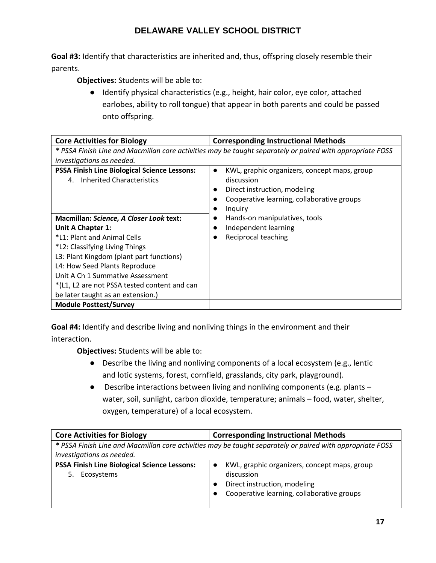**Goal #3:** Identify that characteristics are inherited and, thus, offspring closely resemble their parents.

**Objectives:** Students will be able to:

● Identify physical characteristics (e.g., height, hair color, eye color, attached earlobes, ability to roll tongue) that appear in both parents and could be passed onto offspring.

| <b>Core Activities for Biology</b>                                                                        | <b>Corresponding Instructional Methods</b>                                                                                                                       |
|-----------------------------------------------------------------------------------------------------------|------------------------------------------------------------------------------------------------------------------------------------------------------------------|
| * PSSA Finish Line and Macmillan core activities may be taught separately or paired with appropriate FOSS |                                                                                                                                                                  |
| investigations as needed.                                                                                 |                                                                                                                                                                  |
| <b>PSSA Finish Line Biological Science Lessons:</b><br>Inherited Characteristics<br>4.                    | KWL, graphic organizers, concept maps, group<br>$\bullet$<br>discussion<br>Direct instruction, modeling<br>Cooperative learning, collaborative groups<br>Inquiry |
| Macmillan: Science, A Closer Look text:                                                                   | Hands-on manipulatives, tools                                                                                                                                    |
| Unit A Chapter 1:                                                                                         | Independent learning                                                                                                                                             |
| *L1: Plant and Animal Cells                                                                               | Reciprocal teaching                                                                                                                                              |
| *L2: Classifying Living Things                                                                            |                                                                                                                                                                  |
| L3: Plant Kingdom (plant part functions)                                                                  |                                                                                                                                                                  |
| L4: How Seed Plants Reproduce                                                                             |                                                                                                                                                                  |
| Unit A Ch 1 Summative Assessment                                                                          |                                                                                                                                                                  |
| *(L1, L2 are not PSSA tested content and can                                                              |                                                                                                                                                                  |
| be later taught as an extension.)                                                                         |                                                                                                                                                                  |
| <b>Module Posttest/Survey</b>                                                                             |                                                                                                                                                                  |

**Goal #4:** Identify and describe living and nonliving things in the environment and their interaction.

- Describe the living and nonliving components of a local ecosystem (e.g., lentic and lotic systems, forest, cornfield, grasslands, city park, playground).
- Describe interactions between living and nonliving components (e.g. plants water, soil, sunlight, carbon dioxide, temperature; animals – food, water, shelter, oxygen, temperature) of a local ecosystem.

| <b>Core Activities for Biology</b>                                | <b>Corresponding Instructional Methods</b>                                                                                               |
|-------------------------------------------------------------------|------------------------------------------------------------------------------------------------------------------------------------------|
|                                                                   | * PSSA Finish Line and Macmillan core activities may be taught separately or paired with appropriate FOSS                                |
| investigations as needed.                                         |                                                                                                                                          |
| <b>PSSA Finish Line Biological Science Lessons:</b><br>Ecosystems | KWL, graphic organizers, concept maps, group<br>discussion<br>Direct instruction, modeling<br>Cooperative learning, collaborative groups |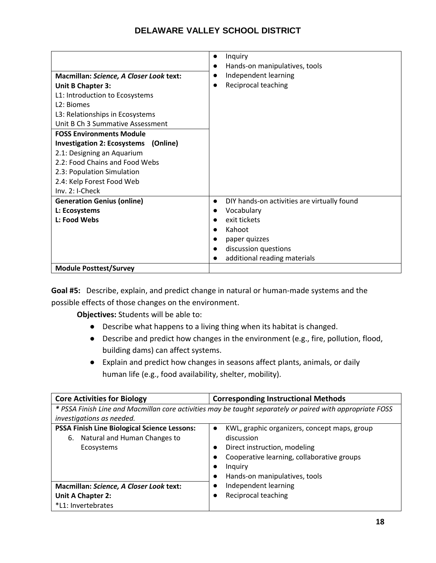| Macmillan: Science, A Closer Look text:<br>Unit B Chapter 3:<br>L1: Introduction to Ecosystems<br>L <sub>2</sub> : Biomes<br>L3: Relationships in Ecosystems<br>Unit B Ch 3 Summative Assessment<br><b>FOSS Environments Module</b><br>Investigation 2: Ecosystems (Online)<br>2.1: Designing an Aquarium | Inquiry<br>$\bullet$<br>Hands-on manipulatives, tools<br>$\bullet$<br>Independent learning<br>$\bullet$<br>Reciprocal teaching |
|-----------------------------------------------------------------------------------------------------------------------------------------------------------------------------------------------------------------------------------------------------------------------------------------------------------|--------------------------------------------------------------------------------------------------------------------------------|
| 2.2: Food Chains and Food Webs                                                                                                                                                                                                                                                                            |                                                                                                                                |
| 2.3: Population Simulation                                                                                                                                                                                                                                                                                |                                                                                                                                |
| 2.4: Kelp Forest Food Web                                                                                                                                                                                                                                                                                 |                                                                                                                                |
| Inv. 2: I-Check                                                                                                                                                                                                                                                                                           |                                                                                                                                |
| <b>Generation Genius (online)</b>                                                                                                                                                                                                                                                                         | DIY hands-on activities are virtually found<br>$\bullet$                                                                       |
| L: Ecosystems                                                                                                                                                                                                                                                                                             | Vocabulary<br>$\bullet$                                                                                                        |
| L: Food Webs                                                                                                                                                                                                                                                                                              | exit tickets                                                                                                                   |
|                                                                                                                                                                                                                                                                                                           | Kahoot                                                                                                                         |
|                                                                                                                                                                                                                                                                                                           | paper quizzes                                                                                                                  |
|                                                                                                                                                                                                                                                                                                           | discussion questions                                                                                                           |
|                                                                                                                                                                                                                                                                                                           | additional reading materials                                                                                                   |
| <b>Module Posttest/Survey</b>                                                                                                                                                                                                                                                                             |                                                                                                                                |

**Goal #5:** Describe, explain, and predict change in natural or human-made systems and the possible effects of those changes on the environment.

- Describe what happens to a living thing when its habitat is changed.
- Describe and predict how changes in the environment (e.g., fire, pollution, flood, building dams) can affect systems.
- Explain and predict how changes in seasons affect plants, animals, or daily human life (e.g., food availability, shelter, mobility).

| <b>Core Activities for Biology</b>                                                                        | <b>Corresponding Instructional Methods</b>                                                                                                                                                        |
|-----------------------------------------------------------------------------------------------------------|---------------------------------------------------------------------------------------------------------------------------------------------------------------------------------------------------|
| * PSSA Finish Line and Macmillan core activities may be taught separately or paired with appropriate FOSS |                                                                                                                                                                                                   |
| investigations as needed.                                                                                 |                                                                                                                                                                                                   |
| <b>PSSA Finish Line Biological Science Lessons:</b><br>Natural and Human Changes to<br>6.<br>Ecosystems   | KWL, graphic organizers, concept maps, group<br>$\bullet$<br>discussion<br>Direct instruction, modeling<br>Cooperative learning, collaborative groups<br>Inquiry<br>Hands-on manipulatives, tools |
| Macmillan: Science, A Closer Look text:                                                                   | Independent learning                                                                                                                                                                              |
| Unit A Chapter 2:                                                                                         | Reciprocal teaching                                                                                                                                                                               |
| *L1: Invertebrates                                                                                        |                                                                                                                                                                                                   |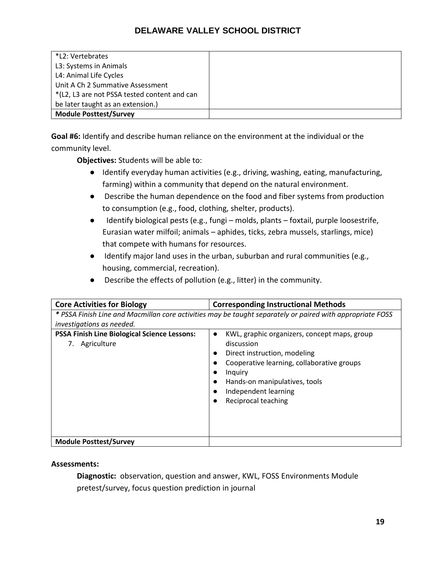| *L2: Vertebrates                             |  |
|----------------------------------------------|--|
| L3: Systems in Animals                       |  |
| L4: Animal Life Cycles                       |  |
| Unit A Ch 2 Summative Assessment             |  |
| *(L2, L3 are not PSSA tested content and can |  |
| be later taught as an extension.)            |  |
| <b>Module Posttest/Survey</b>                |  |

**Goal #6:** Identify and describe human reliance on the environment at the individual or the community level.

**Objectives:** Students will be able to:

- Identify everyday human activities (e.g., driving, washing, eating, manufacturing, farming) within a community that depend on the natural environment.
- Describe the human dependence on the food and fiber systems from production to consumption (e.g., food, clothing, shelter, products).
- Identify biological pests (e.g., fungi molds, plants foxtail, purple loosestrife, Eurasian water milfoil; animals – aphides, ticks, zebra mussels, starlings, mice) that compete with humans for resources.
- Identify major land uses in the urban, suburban and rural communities (e.g., housing, commercial, recreation).
- Describe the effects of pollution (e.g., litter) in the community.

| <b>Core Activities for Biology</b>                                    | <b>Corresponding Instructional Methods</b>                                                                                                                                                                                          |
|-----------------------------------------------------------------------|-------------------------------------------------------------------------------------------------------------------------------------------------------------------------------------------------------------------------------------|
| investigations as needed.                                             | * PSSA Finish Line and Macmillan core activities may be taught separately or paired with appropriate FOSS                                                                                                                           |
| <b>PSSA Finish Line Biological Science Lessons:</b><br>7. Agriculture | KWL, graphic organizers, concept maps, group<br>discussion<br>Direct instruction, modeling<br>Cooperative learning, collaborative groups<br>Inquiry<br>Hands-on manipulatives, tools<br>Independent learning<br>Reciprocal teaching |
| <b>Module Posttest/Survey</b>                                         |                                                                                                                                                                                                                                     |

#### **Assessments:**

**Diagnostic:** observation, question and answer, KWL, FOSS Environments Module pretest/survey, focus question prediction in journal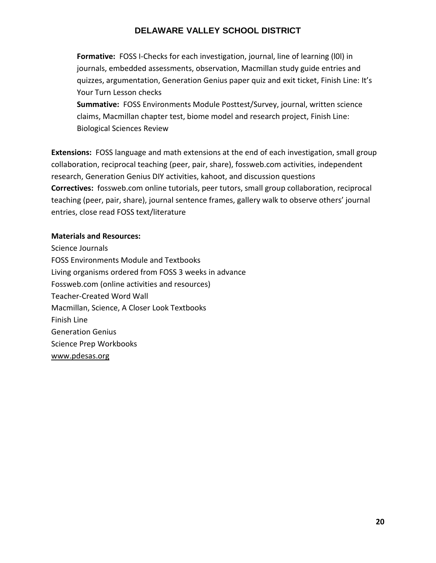**Formative:** FOSS I-Checks for each investigation, journal, line of learning (l0l) in journals, embedded assessments, observation, Macmillan study guide entries and quizzes, argumentation, Generation Genius paper quiz and exit ticket, Finish Line: It's Your Turn Lesson checks

**Summative:** FOSS Environments Module Posttest/Survey, journal, written science claims, Macmillan chapter test, biome model and research project, Finish Line: Biological Sciences Review

**Extensions:** FOSS language and math extensions at the end of each investigation, small group collaboration, reciprocal teaching (peer, pair, share), fossweb.com activities, independent research, Generation Genius DIY activities, kahoot, and discussion questions **Correctives:** fossweb.com online tutorials, peer tutors, small group collaboration, reciprocal teaching (peer, pair, share), journal sentence frames, gallery walk to observe others' journal entries, close read FOSS text/literature

#### **Materials and Resources:**

Science Journals FOSS Environments Module and Textbooks Living organisms ordered from FOSS 3 weeks in advance Fossweb.com (online activities and resources) Teacher-Created Word Wall Macmillan, Science, A Closer Look Textbooks Finish Line Generation Genius Science Prep Workbooks [www.pdesas.org](http://www.pdesas.org/)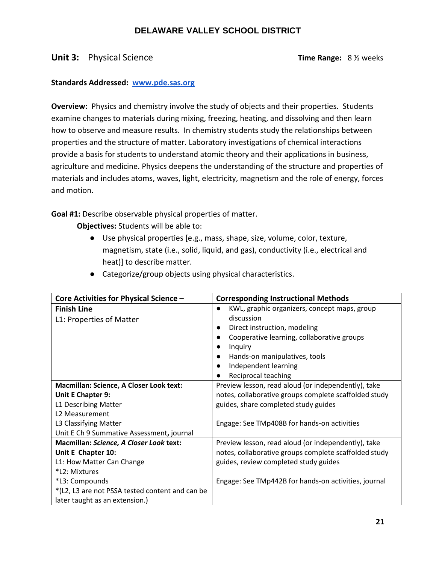#### **Unit 3:** Physical Science **Time Range:** 8 % weeks

#### **Standards Addressed: [www.pde.sas.org](http://www.pde.sas.org/)**

**Overview:** Physics and chemistry involve the study of objects and their properties. Students examine changes to materials during mixing, freezing, heating, and dissolving and then learn how to observe and measure results. In chemistry students study the relationships between properties and the structure of matter. Laboratory investigations of chemical interactions provide a basis for students to understand atomic theory and their applications in business, agriculture and medicine. Physics deepens the understanding of the structure and properties of materials and includes atoms, waves, light, electricity, magnetism and the role of energy, forces and motion.

**Goal #1:** Describe observable physical properties of matter.

- Use physical properties [e.g., mass, shape, size, volume, color, texture, magnetism, state (i.e., solid, liquid, and gas), conductivity (i.e., electrical and heat)] to describe matter.
- Categorize/group objects using physical characteristics.

| Core Activities for Physical Science -          | <b>Corresponding Instructional Methods</b>                |
|-------------------------------------------------|-----------------------------------------------------------|
| <b>Finish Line</b>                              | KWL, graphic organizers, concept maps, group<br>$\bullet$ |
| L1: Properties of Matter                        | discussion                                                |
|                                                 | Direct instruction, modeling<br>$\bullet$                 |
|                                                 | Cooperative learning, collaborative groups                |
|                                                 | Inquiry                                                   |
|                                                 | Hands-on manipulatives, tools<br>$\bullet$                |
|                                                 | Independent learning                                      |
|                                                 | Reciprocal teaching                                       |
| <b>Macmillan: Science, A Closer Look text:</b>  | Preview lesson, read aloud (or independently), take       |
| Unit E Chapter 9:                               | notes, collaborative groups complete scaffolded study     |
| L1 Describing Matter                            | guides, share completed study guides                      |
| L <sub>2</sub> Measurement                      |                                                           |
| L3 Classifying Matter                           | Engage: See TMp408B for hands-on activities               |
| Unit E Ch 9 Summative Assessment, journal       |                                                           |
| Macmillan: Science, A Closer Look text:         | Preview lesson, read aloud (or independently), take       |
| Unit E Chapter 10:                              | notes, collaborative groups complete scaffolded study     |
| L1: How Matter Can Change                       | guides, review completed study guides                     |
| *L2: Mixtures                                   |                                                           |
| *L3: Compounds                                  | Engage: See TMp442B for hands-on activities, journal      |
| *(L2, L3 are not PSSA tested content and can be |                                                           |
| later taught as an extension.)                  |                                                           |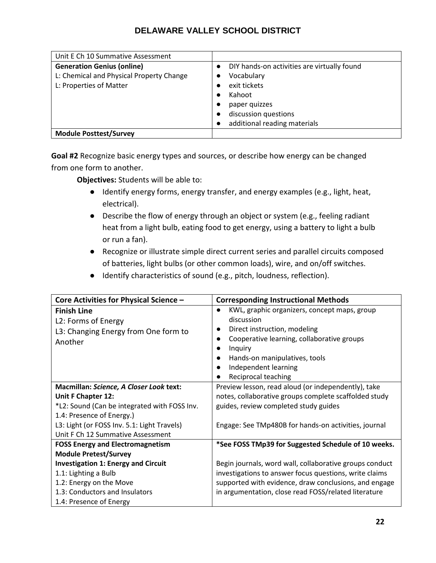| Unit E Ch 10 Summative Assessment        |                                                          |
|------------------------------------------|----------------------------------------------------------|
| <b>Generation Genius (online)</b>        | DIY hands-on activities are virtually found<br>$\bullet$ |
| L: Chemical and Physical Property Change | Vocabulary                                               |
| L: Properties of Matter                  | exit tickets                                             |
|                                          | Kahoot                                                   |
|                                          | paper quizzes                                            |
|                                          | discussion questions                                     |
|                                          | additional reading materials                             |
| <b>Module Posttest/Survey</b>            |                                                          |

**Goal #2** Recognize basic energy types and sources, or describe how energy can be changed from one form to another.

- Identify energy forms, energy transfer, and energy examples (e.g., light, heat, electrical).
- Describe the flow of energy through an object or system (e.g., feeling radiant heat from a light bulb, eating food to get energy, using a battery to light a bulb or run a fan).
- Recognize or illustrate simple direct current series and parallel circuits composed of batteries, light bulbs (or other common loads), wire, and on/off switches.
- Identify characteristics of sound (e.g., pitch, loudness, reflection).

| Core Activities for Physical Science -                                                                                                                                                                                         | <b>Corresponding Instructional Methods</b>                                                                                                                                                                                                                                 |
|--------------------------------------------------------------------------------------------------------------------------------------------------------------------------------------------------------------------------------|----------------------------------------------------------------------------------------------------------------------------------------------------------------------------------------------------------------------------------------------------------------------------|
| <b>Finish Line</b><br>L2: Forms of Energy<br>L3: Changing Energy from One form to<br>Another                                                                                                                                   | KWL, graphic organizers, concept maps, group<br>$\bullet$<br>discussion<br>Direct instruction, modeling<br>$\bullet$<br>Cooperative learning, collaborative groups<br>Inquiry<br>Hands-on manipulatives, tools<br>$\bullet$<br>Independent learning<br>Reciprocal teaching |
| Macmillan: Science, A Closer Look text:<br>Unit F Chapter 12:<br>*L2: Sound (Can be integrated with FOSS Inv.<br>1.4: Presence of Energy.)<br>L3: Light (or FOSS Inv. 5.1: Light Travels)<br>Unit F Ch 12 Summative Assessment | Preview lesson, read aloud (or independently), take<br>notes, collaborative groups complete scaffolded study<br>guides, review completed study guides<br>Engage: See TMp480B for hands-on activities, journal                                                              |
| <b>FOSS Energy and Electromagnetism</b><br><b>Module Pretest/Survey</b>                                                                                                                                                        | *See FOSS TMp39 for Suggested Schedule of 10 weeks.                                                                                                                                                                                                                        |
| <b>Investigation 1: Energy and Circuit</b><br>1.1: Lighting a Bulb<br>1.2: Energy on the Move<br>1.3: Conductors and Insulators<br>1.4: Presence of Energy                                                                     | Begin journals, word wall, collaborative groups conduct<br>investigations to answer focus questions, write claims<br>supported with evidence, draw conclusions, and engage<br>in argumentation, close read FOSS/related literature                                         |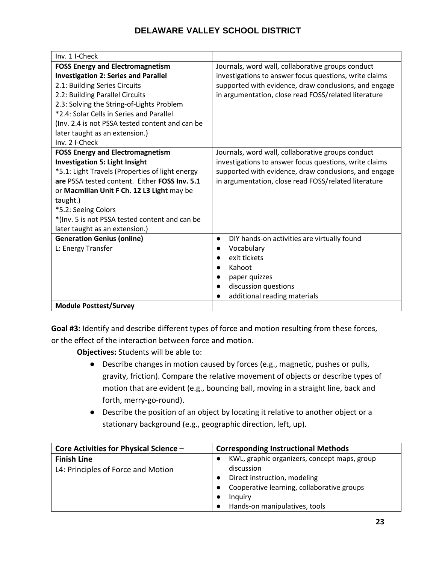| Inv. 1 I-Check                                  |                                                          |
|-------------------------------------------------|----------------------------------------------------------|
| <b>FOSS Energy and Electromagnetism</b>         | Journals, word wall, collaborative groups conduct        |
| <b>Investigation 2: Series and Parallel</b>     | investigations to answer focus questions, write claims   |
| 2.1: Building Series Circuits                   | supported with evidence, draw conclusions, and engage    |
| 2.2: Building Parallel Circuits                 | in argumentation, close read FOSS/related literature     |
| 2.3: Solving the String-of-Lights Problem       |                                                          |
| *2.4: Solar Cells in Series and Parallel        |                                                          |
| (Inv. 2.4 is not PSSA tested content and can be |                                                          |
| later taught as an extension.)                  |                                                          |
| Inv. 2 I-Check                                  |                                                          |
| <b>FOSS Energy and Electromagnetism</b>         | Journals, word wall, collaborative groups conduct        |
| <b>Investigation 5: Light Insight</b>           | investigations to answer focus questions, write claims   |
| *5.1: Light Travels (Properties of light energy | supported with evidence, draw conclusions, and engage    |
| are PSSA tested content. Either FOSS Inv. 5.1   | in argumentation, close read FOSS/related literature     |
| or Macmillan Unit F Ch. 12 L3 Light may be      |                                                          |
| taught.)                                        |                                                          |
| *5.2: Seeing Colors                             |                                                          |
| *(Inv. 5 is not PSSA tested content and can be  |                                                          |
| later taught as an extension.)                  |                                                          |
| <b>Generation Genius (online)</b>               | DIY hands-on activities are virtually found<br>$\bullet$ |
| L: Energy Transfer                              | Vocabulary                                               |
|                                                 | exit tickets                                             |
|                                                 | Kahoot<br>$\bullet$                                      |
|                                                 | paper quizzes                                            |
|                                                 | discussion questions                                     |
|                                                 | additional reading materials                             |
| <b>Module Posttest/Survey</b>                   |                                                          |

**Goal #3:** Identify and describe different types of force and motion resulting from these forces, or the effect of the interaction between force and motion.

- Describe changes in motion caused by forces (e.g., magnetic, pushes or pulls, gravity, friction). Compare the relative movement of objects or describe types of motion that are evident (e.g., bouncing ball, moving in a straight line, back and forth, merry-go-round).
- Describe the position of an object by locating it relative to another object or a stationary background (e.g., geographic direction, left, up).

| Core Activities for Physical Science - | <b>Corresponding Instructional Methods</b>                |
|----------------------------------------|-----------------------------------------------------------|
| <b>Finish Line</b>                     | KWL, graphic organizers, concept maps, group<br>$\bullet$ |
| L4: Principles of Force and Motion     | discussion                                                |
|                                        | Direct instruction, modeling                              |
|                                        | Cooperative learning, collaborative groups                |
|                                        | Inquiry                                                   |
|                                        | Hands-on manipulatives, tools<br>$\bullet$                |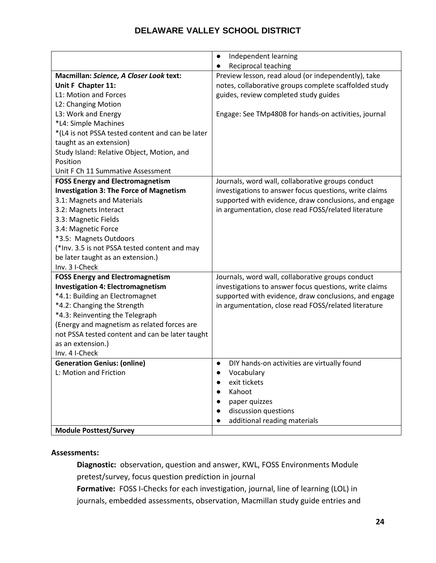|                                                  | Independent learning<br>$\bullet$                        |
|--------------------------------------------------|----------------------------------------------------------|
|                                                  | Reciprocal teaching                                      |
| Macmillan: Science, A Closer Look text:          | Preview lesson, read aloud (or independently), take      |
| Unit F Chapter 11:                               | notes, collaborative groups complete scaffolded study    |
| L1: Motion and Forces                            | guides, review completed study guides                    |
| L2: Changing Motion                              |                                                          |
| L3: Work and Energy                              | Engage: See TMp480B for hands-on activities, journal     |
| *L4: Simple Machines                             |                                                          |
| *(L4 is not PSSA tested content and can be later |                                                          |
| taught as an extension)                          |                                                          |
| Study Island: Relative Object, Motion, and       |                                                          |
| Position                                         |                                                          |
| Unit F Ch 11 Summative Assessment                |                                                          |
| <b>FOSS Energy and Electromagnetism</b>          | Journals, word wall, collaborative groups conduct        |
| <b>Investigation 3: The Force of Magnetism</b>   | investigations to answer focus questions, write claims   |
| 3.1: Magnets and Materials                       | supported with evidence, draw conclusions, and engage    |
| 3.2: Magnets Interact                            | in argumentation, close read FOSS/related literature     |
| 3.3: Magnetic Fields                             |                                                          |
| 3.4: Magnetic Force                              |                                                          |
| *3.5: Magnets Outdoors                           |                                                          |
| (*Inv. 3.5 is not PSSA tested content and may    |                                                          |
| be later taught as an extension.)                |                                                          |
| Inv. 3 I-Check                                   |                                                          |
| <b>FOSS Energy and Electromagnetism</b>          | Journals, word wall, collaborative groups conduct        |
| <b>Investigation 4: Electromagnetism</b>         | investigations to answer focus questions, write claims   |
| *4.1: Building an Electromagnet                  | supported with evidence, draw conclusions, and engage    |
| *4.2: Changing the Strength                      | in argumentation, close read FOSS/related literature     |
| *4.3: Reinventing the Telegraph                  |                                                          |
| (Energy and magnetism as related forces are      |                                                          |
| not PSSA tested content and can be later taught  |                                                          |
| as an extension.)                                |                                                          |
| Inv. 4 I-Check                                   |                                                          |
| <b>Generation Genius: (online)</b>               | DIY hands-on activities are virtually found<br>$\bullet$ |
| L: Motion and Friction                           | Vocabulary<br>$\bullet$                                  |
|                                                  | exit tickets                                             |
|                                                  | Kahoot                                                   |
|                                                  | paper quizzes                                            |
|                                                  | discussion questions                                     |
|                                                  | additional reading materials                             |
| <b>Module Posttest/Survey</b>                    |                                                          |

#### **Assessments:**

**Diagnostic:** observation, question and answer, KWL, FOSS Environments Module pretest/survey, focus question prediction in journal

**Formative:** FOSS I-Checks for each investigation, journal, line of learning (LOL) in journals, embedded assessments, observation, Macmillan study guide entries and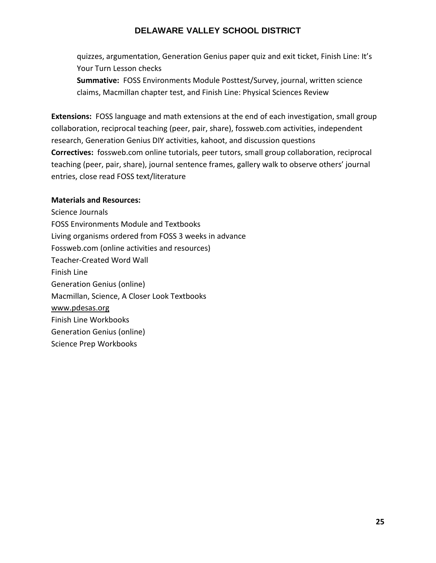quizzes, argumentation, Generation Genius paper quiz and exit ticket, Finish Line: It's Your Turn Lesson checks

**Summative:** FOSS Environments Module Posttest/Survey, journal, written science claims, Macmillan chapter test, and Finish Line: Physical Sciences Review

**Extensions:** FOSS language and math extensions at the end of each investigation, small group collaboration, reciprocal teaching (peer, pair, share), fossweb.com activities, independent research, Generation Genius DIY activities, kahoot, and discussion questions **Correctives:** fossweb.com online tutorials, peer tutors, small group collaboration, reciprocal teaching (peer, pair, share), journal sentence frames, gallery walk to observe others' journal entries, close read FOSS text/literature

#### **Materials and Resources:**

Science Journals FOSS Environments Module and Textbooks Living organisms ordered from FOSS 3 weeks in advance Fossweb.com (online activities and resources) Teacher-Created Word Wall Finish Line Generation Genius (online) Macmillan, Science, A Closer Look Textbooks [www.pdesas.org](http://www.pdesas.org/) Finish Line Workbooks Generation Genius (online) Science Prep Workbooks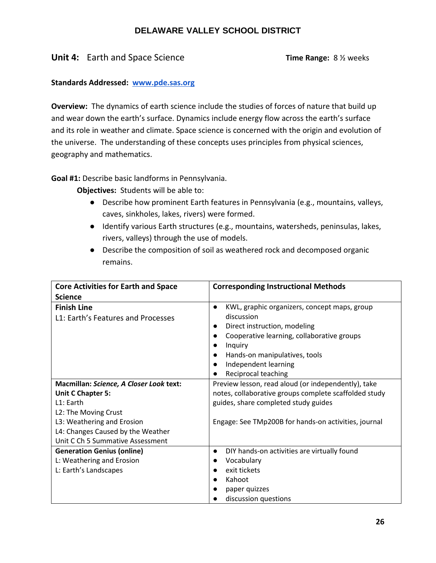## **Unit 4:** Earth and Space Science **Time Range:** 8 % weeks

#### **Standards Addressed: [www.pde.sas.org](http://www.pde.sas.org/)**

**Overview:** The dynamics of earth science include the studies of forces of nature that build up and wear down the earth's surface. Dynamics include energy flow across the earth's surface and its role in weather and climate. Space science is concerned with the origin and evolution of the universe. The understanding of these concepts uses principles from physical sciences, geography and mathematics.

**Goal #1:** Describe basic landforms in Pennsylvania.

- Describe how prominent Earth features in Pennsylvania (e.g., mountains, valleys, caves, sinkholes, lakes, rivers) were formed.
- Identify various Earth structures (e.g., mountains, watersheds, peninsulas, lakes, rivers, valleys) through the use of models.
- Describe the composition of soil as weathered rock and decomposed organic remains.

| <b>Core Activities for Earth and Space</b>               | <b>Corresponding Instructional Methods</b>                                                                                                                                                                                                       |
|----------------------------------------------------------|--------------------------------------------------------------------------------------------------------------------------------------------------------------------------------------------------------------------------------------------------|
| <b>Science</b>                                           |                                                                                                                                                                                                                                                  |
| <b>Finish Line</b><br>L1: Earth's Features and Processes | KWL, graphic organizers, concept maps, group<br>$\bullet$<br>discussion<br>Direct instruction, modeling<br>Cooperative learning, collaborative groups<br>Inquiry<br>Hands-on manipulatives, tools<br>Independent learning<br>Reciprocal teaching |
| Macmillan: Science, A Closer Look text:                  | Preview lesson, read aloud (or independently), take                                                                                                                                                                                              |
| Unit C Chapter 5:                                        | notes, collaborative groups complete scaffolded study                                                                                                                                                                                            |
| L1: Earth                                                | guides, share completed study guides                                                                                                                                                                                                             |
| L2: The Moving Crust                                     |                                                                                                                                                                                                                                                  |
| L3: Weathering and Erosion                               | Engage: See TMp200B for hands-on activities, journal                                                                                                                                                                                             |
| L4: Changes Caused by the Weather                        |                                                                                                                                                                                                                                                  |
| Unit C Ch 5 Summative Assessment                         |                                                                                                                                                                                                                                                  |
| <b>Generation Genius (online)</b>                        | DIY hands-on activities are virtually found<br>$\bullet$                                                                                                                                                                                         |
| L: Weathering and Erosion                                | Vocabulary                                                                                                                                                                                                                                       |
| L: Earth's Landscapes                                    | exit tickets                                                                                                                                                                                                                                     |
|                                                          | Kahoot                                                                                                                                                                                                                                           |
|                                                          | paper quizzes                                                                                                                                                                                                                                    |
|                                                          | discussion questions                                                                                                                                                                                                                             |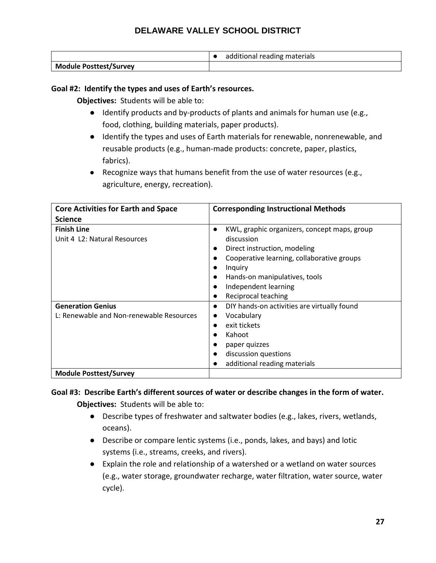|                               | additional reading materials |
|-------------------------------|------------------------------|
| <b>Module Posttest/Survey</b> |                              |

#### **Goal #2: Identify the types and uses of Earth's resources.**

**Objectives:** Students will be able to:

- Identify products and by-products of plants and animals for human use (e.g., food, clothing, building materials, paper products).
- Identify the types and uses of Earth materials for renewable, nonrenewable, and reusable products (e.g., human-made products: concrete, paper, plastics, fabrics).
- Recognize ways that humans benefit from the use of water resources (e.g., agriculture, energy, recreation).

| <b>Core Activities for Earth and Space</b>                           | <b>Corresponding Instructional Methods</b>                                                                                                                                                                                          |
|----------------------------------------------------------------------|-------------------------------------------------------------------------------------------------------------------------------------------------------------------------------------------------------------------------------------|
| <b>Science</b>                                                       |                                                                                                                                                                                                                                     |
| <b>Finish Line</b><br>Unit 4 L2: Natural Resources                   | KWL, graphic organizers, concept maps, group<br>discussion<br>Direct instruction, modeling<br>Cooperative learning, collaborative groups<br>Inquiry<br>Hands-on manipulatives, tools<br>Independent learning<br>Reciprocal teaching |
| <b>Generation Genius</b><br>L: Renewable and Non-renewable Resources | DIY hands-on activities are virtually found<br>$\bullet$<br>Vocabulary<br>exit tickets<br>$\bullet$<br>Kahoot<br>paper quizzes<br>discussion questions<br>additional reading materials                                              |
| <b>Module Posttest/Survey</b>                                        |                                                                                                                                                                                                                                     |

## **Goal #3: Describe Earth's different sources of water or describe changes in the form of water. Objectives:** Students will be able to:

- Describe types of freshwater and saltwater bodies (e.g., lakes, rivers, wetlands, oceans).
- Describe or compare lentic systems (i.e., ponds, lakes, and bays) and lotic systems (i.e., streams, creeks, and rivers).
- Explain the role and relationship of a watershed or a wetland on water sources (e.g., water storage, groundwater recharge, water filtration, water source, water cycle).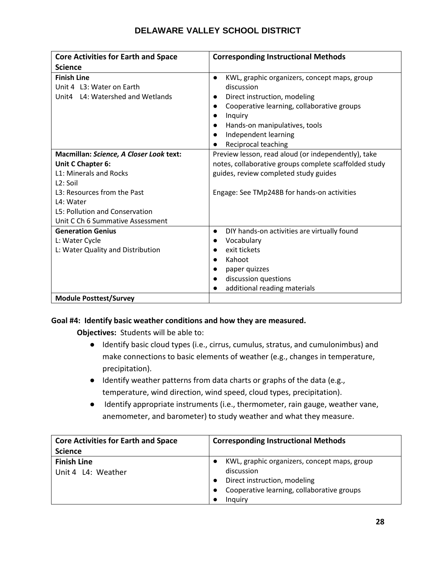| <b>Core Activities for Earth and Space</b>                                                                                                                                                                             | <b>Corresponding Instructional Methods</b>                                                                                                                                                                                                       |
|------------------------------------------------------------------------------------------------------------------------------------------------------------------------------------------------------------------------|--------------------------------------------------------------------------------------------------------------------------------------------------------------------------------------------------------------------------------------------------|
| <b>Science</b>                                                                                                                                                                                                         |                                                                                                                                                                                                                                                  |
| <b>Finish Line</b><br>Unit 4 L3: Water on Earth<br>Unit4 L4: Watershed and Wetlands                                                                                                                                    | KWL, graphic organizers, concept maps, group<br>$\bullet$<br>discussion<br>Direct instruction, modeling<br>Cooperative learning, collaborative groups<br>Inquiry<br>Hands-on manipulatives, tools<br>Independent learning<br>Reciprocal teaching |
| Macmillan: Science, A Closer Look text:<br>Unit C Chapter 6:<br>L1: Minerals and Rocks<br>$L2:$ Soil<br>L3: Resources from the Past<br>L4: Water<br>L5: Pollution and Conservation<br>Unit C Ch 6 Summative Assessment | Preview lesson, read aloud (or independently), take<br>notes, collaborative groups complete scaffolded study<br>guides, review completed study guides<br>Engage: See TMp248B for hands-on activities                                             |
| <b>Generation Genius</b><br>L: Water Cycle<br>L: Water Quality and Distribution<br><b>Module Posttest/Survey</b>                                                                                                       | DIY hands-on activities are virtually found<br>$\bullet$<br>Vocabulary<br>$\bullet$<br>exit tickets<br>Kahoot<br>paper quizzes<br>discussion questions<br>additional reading materials                                                           |

#### **Goal #4: Identify basic weather conditions and how they are measured.**

- Identify basic cloud types (i.e., cirrus, cumulus, stratus, and cumulonimbus) and make connections to basic elements of weather (e.g., changes in temperature, precipitation).
- Identify weather patterns from data charts or graphs of the data (e.g., temperature, wind direction, wind speed, cloud types, precipitation).
- Identify appropriate instruments (i.e., thermometer, rain gauge, weather vane, anemometer, and barometer) to study weather and what they measure.

| <b>Core Activities for Earth and Space</b> | <b>Corresponding Instructional Methods</b>                                                                                                          |
|--------------------------------------------|-----------------------------------------------------------------------------------------------------------------------------------------------------|
| <b>Science</b>                             |                                                                                                                                                     |
| <b>Finish Line</b><br>Unit 4 L4: Weather   | KWL, graphic organizers, concept maps, group<br>discussion<br>Direct instruction, modeling<br>Cooperative learning, collaborative groups<br>Inguiry |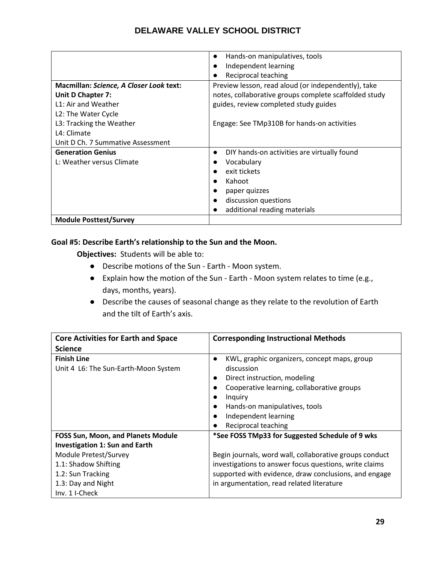|                                                | Hands-on manipulatives, tools<br>$\bullet$            |
|------------------------------------------------|-------------------------------------------------------|
|                                                | Independent learning                                  |
|                                                | Reciprocal teaching                                   |
| <b>Macmillan: Science, A Closer Look text:</b> | Preview lesson, read aloud (or independently), take   |
| <b>Unit D Chapter 7:</b>                       | notes, collaborative groups complete scaffolded study |
| L1: Air and Weather                            | guides, review completed study guides                 |
| L2: The Water Cycle                            |                                                       |
| L3: Tracking the Weather                       | Engage: See TMp310B for hands-on activities           |
| L4: Climate                                    |                                                       |
| Unit D Ch. 7 Summative Assessment              |                                                       |
| <b>Generation Genius</b>                       | DIY hands-on activities are virtually found           |
| L: Weather versus Climate                      | Vocabulary                                            |
|                                                | exit tickets                                          |
|                                                | Kahoot                                                |
|                                                | paper quizzes                                         |
|                                                | discussion questions                                  |
|                                                | additional reading materials                          |
| <b>Module Posttest/Survey</b>                  |                                                       |

#### **Goal #5: Describe Earth's relationship to the Sun and the Moon.**

- Describe motions of the Sun Earth Moon system.
- Explain how the motion of the Sun Earth Moon system relates to time (e.g., days, months, years).
- Describe the causes of seasonal change as they relate to the revolution of Earth and the tilt of Earth's axis.

| <b>Core Activities for Earth and Space</b>                                         | <b>Corresponding Instructional Methods</b>                                                                                                                                                                                          |
|------------------------------------------------------------------------------------|-------------------------------------------------------------------------------------------------------------------------------------------------------------------------------------------------------------------------------------|
| <b>Science</b>                                                                     |                                                                                                                                                                                                                                     |
| <b>Finish Line</b><br>Unit 4 L6: The Sun-Earth-Moon System                         | KWL, graphic organizers, concept maps, group<br>discussion<br>Direct instruction, modeling<br>Cooperative learning, collaborative groups<br>Inguiry<br>Hands-on manipulatives, tools<br>Independent learning<br>Reciprocal teaching |
| <b>FOSS Sun, Moon, and Planets Module</b><br><b>Investigation 1: Sun and Earth</b> | *See FOSS TMp33 for Suggested Schedule of 9 wks                                                                                                                                                                                     |
| Module Pretest/Survey                                                              | Begin journals, word wall, collaborative groups conduct                                                                                                                                                                             |
| 1.1: Shadow Shifting                                                               | investigations to answer focus questions, write claims                                                                                                                                                                              |
| 1.2: Sun Tracking                                                                  | supported with evidence, draw conclusions, and engage                                                                                                                                                                               |
| 1.3: Day and Night                                                                 | in argumentation, read related literature                                                                                                                                                                                           |
| Inv. 1 I-Check                                                                     |                                                                                                                                                                                                                                     |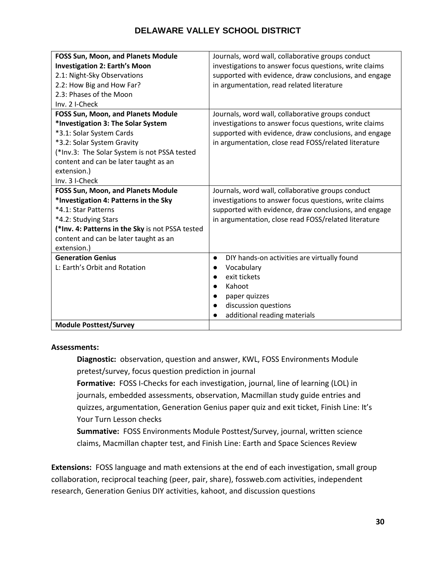| FOSS Sun, Moon, and Planets Module               | Journals, word wall, collaborative groups conduct        |
|--------------------------------------------------|----------------------------------------------------------|
| <b>Investigation 2: Earth's Moon</b>             | investigations to answer focus questions, write claims   |
| 2.1: Night-Sky Observations                      | supported with evidence, draw conclusions, and engage    |
| 2.2: How Big and How Far?                        | in argumentation, read related literature                |
| 2.3: Phases of the Moon                          |                                                          |
| Inv. 2 I-Check                                   |                                                          |
| <b>FOSS Sun, Moon, and Planets Module</b>        | Journals, word wall, collaborative groups conduct        |
| *Investigation 3: The Solar System               | investigations to answer focus questions, write claims   |
| *3.1: Solar System Cards                         | supported with evidence, draw conclusions, and engage    |
| *3.2: Solar System Gravity                       | in argumentation, close read FOSS/related literature     |
| (*Inv.3: The Solar System is not PSSA tested     |                                                          |
| content and can be later taught as an            |                                                          |
| extension.)                                      |                                                          |
| Inv. 3 I-Check                                   |                                                          |
| FOSS Sun, Moon, and Planets Module               | Journals, word wall, collaborative groups conduct        |
| *Investigation 4: Patterns in the Sky            | investigations to answer focus questions, write claims   |
| *4.1: Star Patterns                              | supported with evidence, draw conclusions, and engage    |
| *4.2: Studying Stars                             | in argumentation, close read FOSS/related literature     |
| (*Inv. 4: Patterns in the Sky is not PSSA tested |                                                          |
| content and can be later taught as an            |                                                          |
| extension.)                                      |                                                          |
| <b>Generation Genius</b>                         | DIY hands-on activities are virtually found<br>$\bullet$ |
| L: Earth's Orbit and Rotation                    | Vocabulary                                               |
|                                                  | exit tickets                                             |
|                                                  | Kahoot                                                   |
|                                                  | paper quizzes                                            |
|                                                  | discussion questions<br>$\bullet$                        |
|                                                  | additional reading materials                             |
| <b>Module Posttest/Survey</b>                    |                                                          |

#### **Assessments:**

**Diagnostic:** observation, question and answer, KWL, FOSS Environments Module pretest/survey, focus question prediction in journal

**Formative:** FOSS I-Checks for each investigation, journal, line of learning (LOL) in journals, embedded assessments, observation, Macmillan study guide entries and quizzes, argumentation, Generation Genius paper quiz and exit ticket, Finish Line: It's Your Turn Lesson checks

**Summative:** FOSS Environments Module Posttest/Survey, journal, written science claims, Macmillan chapter test, and Finish Line: Earth and Space Sciences Review

**Extensions:** FOSS language and math extensions at the end of each investigation, small group collaboration, reciprocal teaching (peer, pair, share), fossweb.com activities, independent research, Generation Genius DIY activities, kahoot, and discussion questions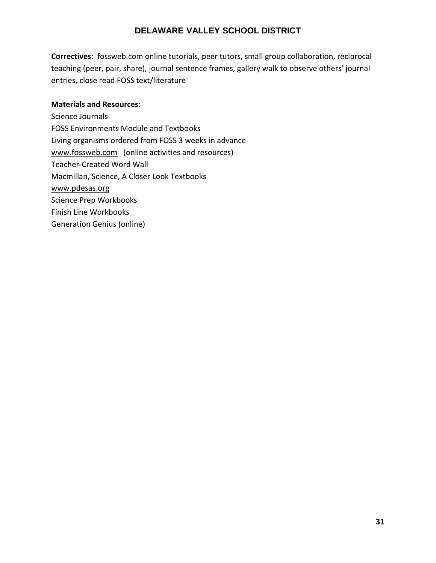**Correctives:** fossweb.com online tutorials, peer tutors, small group collaboration, reciprocal teaching (peer, pair, share), journal sentence frames, gallery walk to observe others' journal entries, close read FOSS text/literature

#### **Materials and Resources:**

Science Journals FOSS Environments Module and Textbooks Living organisms ordered from FOSS 3 weeks in advance [www.fossweb.com](http://www.fossweb.com/) (online activities and resources) Teacher-Created Word Wall Macmillan, Science, A Closer Look Textbooks [www.pdesas.org](http://www.pdesas.org/) Science Prep Workbooks Finish Line Workbooks Generation Genius (online)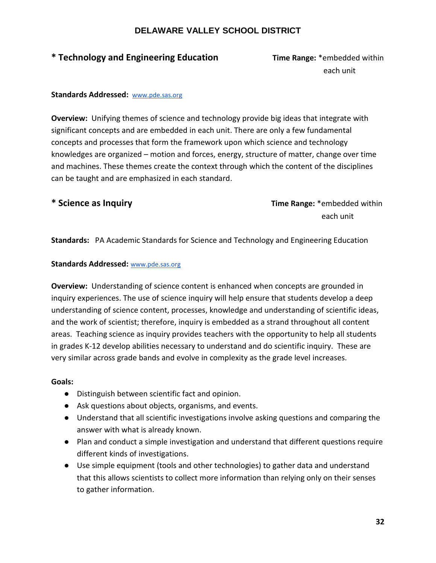## **\* Technology and Engineering Education Time Range:** \*embedded within

each unit and a state of the control of the control of the control of the control of the control of the control of the control of the control of the control of the control of the control of the control of the control of th

#### **Standards Addressed:** [www.pde.sas.org](http://www.pde.sas.org/)

**Overview:** Unifying themes of science and technology provide big ideas that integrate with significant concepts and are embedded in each unit. There are only a few fundamental concepts and processes that form the framework upon which science and technology knowledges are organized – motion and forces, energy, structure of matter, change over time and machines. These themes create the context through which the content of the disciplines can be taught and are emphasized in each standard.

**\* Science as Inquiry Time Range:** \*embedded within each unit and the contract of the contract of the contract of the contract of the contract of the contract of

**Standards:** PA Academic Standards for Science and Technology and Engineering Education

#### **Standards Addressed:** [www.pde.sas.org](http://www.pde.sas.org/)

**Overview:** Understanding of science content is enhanced when concepts are grounded in inquiry experiences. The use of science inquiry will help ensure that students develop a deep understanding of science content, processes, knowledge and understanding of scientific ideas, and the work of scientist; therefore, inquiry is embedded as a strand throughout all content areas. Teaching science as inquiry provides teachers with the opportunity to help all students in grades K-12 develop abilities necessary to understand and do scientific inquiry. These are very similar across grade bands and evolve in complexity as the grade level increases.

#### **Goals:**

- Distinguish between scientific fact and opinion.
- Ask questions about objects, organisms, and events.
- Understand that all scientific investigations involve asking questions and comparing the answer with what is already known.
- Plan and conduct a simple investigation and understand that different questions require different kinds of investigations.
- Use simple equipment (tools and other technologies) to gather data and understand that this allows scientists to collect more information than relying only on their senses to gather information.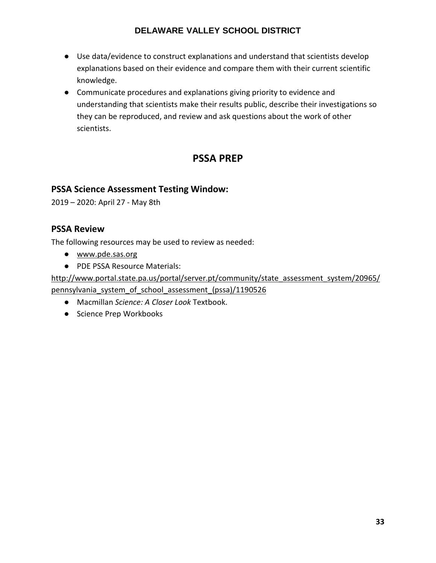- Use data/evidence to construct explanations and understand that scientists develop explanations based on their evidence and compare them with their current scientific knowledge.
- Communicate procedures and explanations giving priority to evidence and understanding that scientists make their results public, describe their investigations so they can be reproduced, and review and ask questions about the work of other scientists.

## **PSSA PREP**

## **PSSA Science Assessment Testing Window:**

2019 – 2020: April 27 - May 8th

#### **PSSA Review**

The following resources may be used to review as needed:

- [www.pde.sas.org](http://www.pde.sas.org/)
- PDE PSSA Resource Materials:

[http://www.portal.state.pa.us/portal/server.pt/community/state\\_assessment\\_system/20965/](http://www.portal.state.pa.us/portal/server.pt/community/state_assessment_system/20965/pennsylvania_system_of_school_assessment_(pssa)/1190526) [pennsylvania\\_system\\_of\\_school\\_assessment\\_\(pssa\)/1190526](http://www.portal.state.pa.us/portal/server.pt/community/state_assessment_system/20965/pennsylvania_system_of_school_assessment_(pssa)/1190526)

- Macmillan *Science: A Closer Look* Textbook.
- Science Prep Workbooks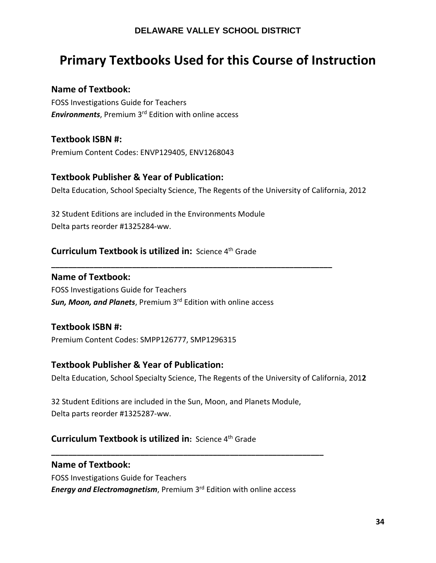# **Primary Textbooks Used for this Course of Instruction**

## **Name of Textbook:**

FOSS Investigations Guide for Teachers *Environments*, Premium 3rd Edition with online access

## **Textbook ISBN #:**

Premium Content Codes: ENVP129405, ENV1268043

#### **Textbook Publisher & Year of Publication:**

Delta Education, School Specialty Science, The Regents of the University of California, 2012

**\_\_\_\_\_\_\_\_\_\_\_\_\_\_\_\_\_\_\_\_\_\_\_\_\_\_\_\_\_\_\_\_\_\_\_\_\_\_\_\_\_\_\_\_\_\_\_\_\_\_\_\_\_\_\_\_\_\_\_\_\_\_\_\_\_\_**

32 Student Editions are included in the Environments Module Delta parts reorder #1325284-ww.

## **Curriculum Textbook is utilized in:** Science 4<sup>th</sup> Grade

#### **Name of Textbook:**

FOSS Investigations Guide for Teachers *Sun, Moon, and Planets*, Premium 3rd Edition with online access

## **Textbook ISBN #:**

Premium Content Codes: SMPP126777, SMP1296315

#### **Textbook Publisher & Year of Publication:**

Delta Education, School Specialty Science, The Regents of the University of California, 201**2**

32 Student Editions are included in the Sun, Moon, and Planets Module, Delta parts reorder #1325287-ww.

## **Curriculum Textbook is utilized in: Science 4<sup>th</sup> Grade**

#### **Name of Textbook:**

FOSS Investigations Guide for Teachers *Energy and Electromagnetism*, Premium 3rd Edition with online access

**\_\_\_\_\_\_\_\_\_\_\_\_\_\_\_\_\_\_\_\_\_\_\_\_\_\_\_\_\_\_\_\_\_\_\_\_\_\_\_\_\_\_\_\_\_\_\_\_\_\_\_\_\_\_\_\_\_\_\_\_\_\_\_\_**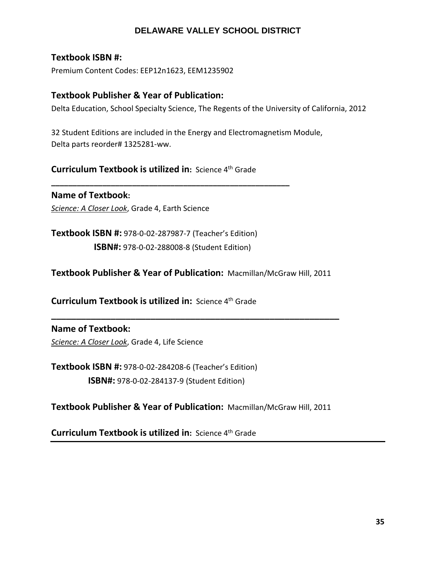#### **Textbook ISBN #:**

Premium Content Codes: EEP12n1623, EEM1235902

#### **Textbook Publisher & Year of Publication:**

Delta Education, School Specialty Science, The Regents of the University of California, 2012

32 Student Editions are included in the Energy and Electromagnetism Module, Delta parts reorder# 1325281-ww.

**Curriculum Textbook is utilized in: Science 4th Grade** 

**\_\_\_\_\_\_\_\_\_\_\_\_\_\_\_\_\_\_\_\_\_\_\_\_\_\_\_\_\_\_\_\_\_\_\_\_\_\_\_\_\_\_\_\_\_\_\_\_\_\_\_\_\_\_\_\_**

**Name of Textbook:**  *Science: A Closer Look*, Grade 4, Earth Science

**Textbook ISBN #:** 978-0-02-287987-7 (Teacher's Edition)  **ISBN#:** 978-0-02-288008-8 (Student Edition)

**Textbook Publisher & Year of Publication:** Macmillan/McGraw Hill, 2011

**\_\_\_\_\_\_\_\_\_\_\_\_\_\_\_\_\_\_\_\_\_\_\_\_\_\_\_\_\_\_\_\_\_\_\_\_\_\_\_\_\_\_\_\_\_\_\_\_\_\_\_\_\_\_\_\_\_\_**

**Curriculum Textbook is utilized in:** Science 4th Grade

## **Name of Textbook:**

*Science: A Closer Look*, Grade 4, Life Science

**Textbook ISBN #:** 978-0-02-284208-6 (Teacher's Edition)  **ISBN#:** 978-0-02-284137-9 (Student Edition)

**Textbook Publisher & Year of Publication:** Macmillan/McGraw Hill, 2011

**Curriculum Textbook is utilized in: Science 4th Grade**